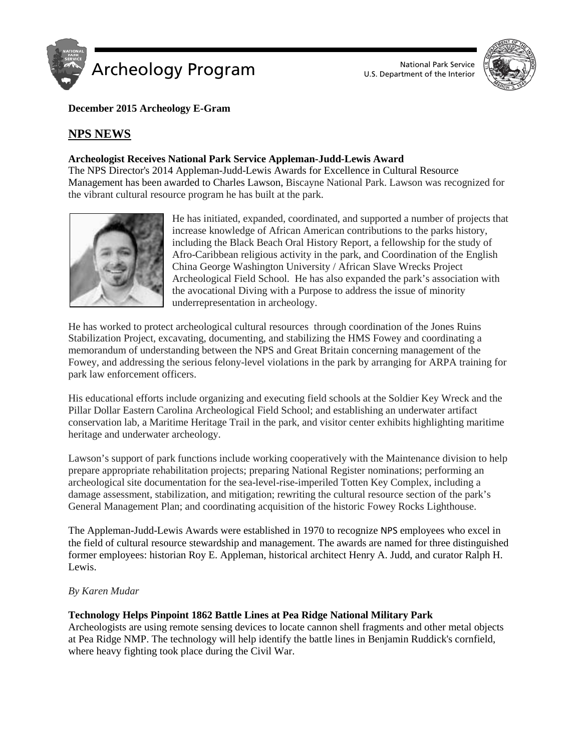



## **December 2015 Archeology E-Gram**

# **NPS NEWS**

## **Archeologist Receives National Park Service Appleman-Judd-Lewis Award**

The NPS Director's 2014 Appleman-Judd-Lewis Awards for Excellence in Cultural Resource Management has been awarded to Charles Lawson, Biscayne National Park. Lawson was recognized for the vibrant cultural resource program he has built at the park.



He has initiated, expanded, coordinated, and supported a number of projects that increase knowledge of African American contributions to the parks history, including the Black Beach Oral History Report, a fellowship for the study of Afro-Caribbean religious activity in the park, and Coordination of the English China George Washington University / African Slave Wrecks Project Archeological Field School. He has also expanded the park's association with the avocational Diving with a Purpose to address the issue of minority underrepresentation in archeology.

He has worked to protect archeological cultural resources through coordination of the Jones Ruins Stabilization Project, excavating, documenting, and stabilizing the HMS Fowey and coordinating a memorandum of understanding between the NPS and Great Britain concerning management of the Fowey, and addressing the serious felony-level violations in the park by arranging for ARPA training for park law enforcement officers.

His educational efforts include organizing and executing field schools at the Soldier Key Wreck and the Pillar Dollar Eastern Carolina Archeological Field School; and establishing an underwater artifact conservation lab, a Maritime Heritage Trail in the park, and visitor center exhibits highlighting maritime heritage and underwater archeology.

Lawson's support of park functions include working cooperatively with the Maintenance division to help prepare appropriate rehabilitation projects; preparing National Register nominations; performing an archeological site documentation for the sea-level-rise-imperiled Totten Key Complex, including a damage assessment, stabilization, and mitigation; rewriting the cultural resource section of the park's General Management Plan; and coordinating acquisition of the historic Fowey Rocks Lighthouse.

The Appleman-Judd-Lewis Awards were established in 1970 to recognize NPS employees who excel in the field of cultural resource stewardship and management. The awards are named for three distinguished former employees: historian Roy E. Appleman, historical architect Henry A. Judd, and curator Ralph H. Lewis.

## *By Karen Mudar*

## **Technology Helps Pinpoint 1862 Battle Lines at Pea Ridge National Military Park**

Archeologists are using remote sensing devices to locate cannon shell fragments and other metal objects at Pea Ridge NMP. The technology will help identify the battle lines in Benjamin Ruddick's cornfield, where heavy fighting took place during the Civil War.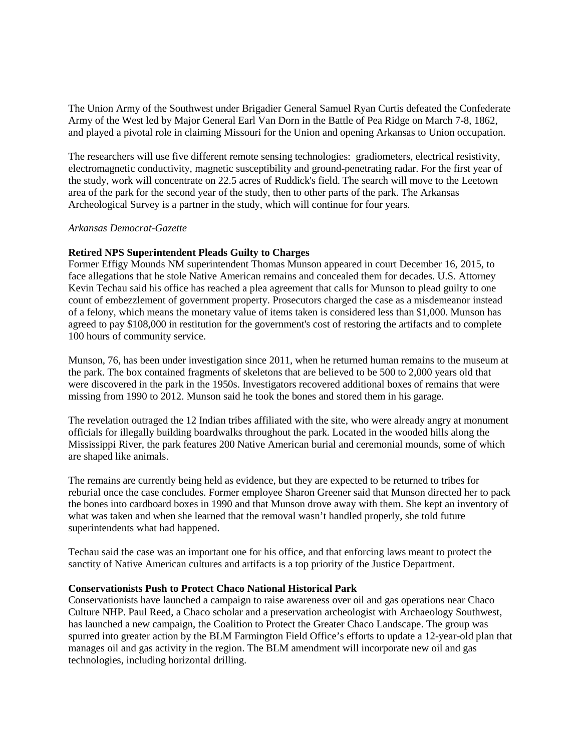The Union Army of the Southwest under Brigadier General Samuel Ryan Curtis defeated the Confederate Army of the West led by Major General Earl Van Dorn in the Battle of Pea Ridge on March 7-8, 1862, and played a pivotal role in claiming Missouri for the Union and opening Arkansas to Union occupation.

The researchers will use five different remote sensing technologies: gradiometers, electrical resistivity, electromagnetic conductivity, magnetic susceptibility and ground-penetrating radar. For the first year of the study, work will concentrate on 22.5 acres of Ruddick's field. The search will move to the Leetown area of the park for the second year of the study, then to other parts of the park. The Arkansas Archeological Survey is a partner in the study, which will continue for four years.

#### *Arkansas Democrat-Gazette*

## **Retired NPS Superintendent Pleads Guilty to Charges**

Former Effigy Mounds NM superintendent Thomas Munson appeared in court December 16, 2015, to face allegations that he stole Native American remains and concealed them for decades. U.S. Attorney Kevin Techau said his office has reached a plea agreement that calls for Munson to plead guilty to one count of embezzlement of government property. Prosecutors charged the case as a misdemeanor instead of a felony, which means the monetary value of items taken is considered less than \$1,000. Munson has agreed to pay \$108,000 in restitution for the government's cost of restoring the artifacts and to complete 100 hours of community service.

Munson, 76, has been under investigation since 2011, when he returned human remains to the museum at the park. The box contained fragments of skeletons that are believed to be 500 to 2,000 years old that were discovered in the park in the 1950s. Investigators recovered additional boxes of remains that were missing from 1990 to 2012. Munson said he took the bones and stored them in his garage.

The revelation outraged the 12 Indian tribes affiliated with the site, who were already angry at monument officials for illegally building boardwalks throughout the park. Located in the wooded hills along the Mississippi River, the park features 200 Native American burial and ceremonial mounds, some of which are shaped like animals.

The remains are currently being held as evidence, but they are expected to be returned to tribes for reburial once the case concludes. Former employee Sharon Greener said that Munson directed her to pack the bones into cardboard boxes in 1990 and that Munson drove away with them. She kept an inventory of what was taken and when she learned that the removal wasn't handled properly, she told future superintendents what had happened.

Techau said the case was an important one for his office, and that enforcing laws meant to protect the sanctity of Native American cultures and artifacts is a top priority of the Justice Department.

#### **Conservationists Push to Protect Chaco National Historical Park**

Conservationists have launched a campaign to raise awareness over oil and gas operations near Chaco Culture NHP. Paul Reed, a Chaco scholar and a preservation archeologist with Archaeology Southwest, has launched a new campaign, the Coalition to Protect the Greater Chaco Landscape. The group was spurred into greater action by the BLM Farmington Field Office's efforts to update a 12-year-old plan that manages oil and gas activity in the region. The BLM amendment will incorporate new oil and gas technologies, including horizontal drilling.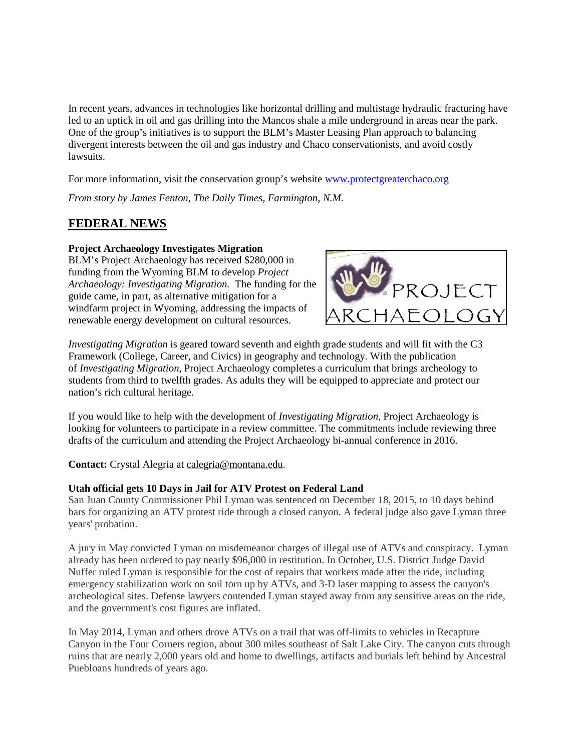In recent years, advances in technologies like horizontal drilling and multistage hydraulic fracturing have led to an uptick in oil and gas drilling into the Mancos shale a mile underground in areas near the park. One of the group's initiatives is to support the BLM's Master Leasing Plan approach to balancing divergent interests between the oil and gas industry and Chaco conservationists, and avoid costly lawsuits.

For more information, visit the conservation group's website [www.protectgreaterchaco.org](http://www.protectgreaterchaco.org/)

*From story by James Fenton, The Daily Times, Farmington, N.M.*

# **FEDERAL NEWS**

#### **Project Archaeology Investigates Migration**

BLM's Project Archaeology has received \$280,000 in funding from the Wyoming BLM to develop *Project Archaeology: Investigating Migration.* The funding for the guide came, in part, as alternative mitigation for a windfarm project in Wyoming, addressing the impacts of renewable energy development on cultural resources.



*Investigating Migration* is geared toward seventh and eighth grade students and will fit with the C3 Framework (College, Career, and Civics) in geography and technology. With the publication of *Investigating Migration*, Project Archaeology completes a curriculum that brings archeology to students from third to twelfth grades. As adults they will be equipped to appreciate and protect our nation's rich cultural heritage.

If you would like to help with the development of *Investigating Migration*, Project Archaeology is looking for volunteers to participate in a review committee. The commitments include reviewing three drafts of the curriculum and attending the Project Archaeology bi-annual conference in 2016.

**Contact:** Crystal Alegria at [calegria@montana.edu.](https://mail.google.com/mail/?view=cm&fs=1&tf=1&to=calegria@montana.edu)

#### **Utah official gets 10 Days in Jail for ATV Protest on Federal Land**

San Juan County Commissioner Phil Lyman was sentenced on December 18, 2015, to 10 days behind bars for organizing an ATV protest ride through a closed canyon. A federal judge also gave Lyman three years' probation.

A jury in May convicted Lyman on misdemeanor charges of illegal use of ATVs and conspiracy. Lyman already has been ordered to pay nearly \$96,000 in restitution. In October, U.S. District Judge David Nuffer ruled Lyman is responsible for the cost of repairs that workers made after the ride, including emergency stabilization work on soil torn up by ATVs, and 3-D laser mapping to assess the canyon's archeological sites. Defense lawyers contended Lyman stayed away from any sensitive areas on the ride, and the government's cost figures are inflated.

In May 2014, Lyman and others drove ATVs on a trail that was off-limits to vehicles in Recapture Canyon in the Four Corners region, about 300 miles southeast of Salt Lake City. The canyon cuts through ruins that are nearly 2,000 years old and home to dwellings, artifacts and burials left behind by Ancestral Puebloans hundreds of years ago.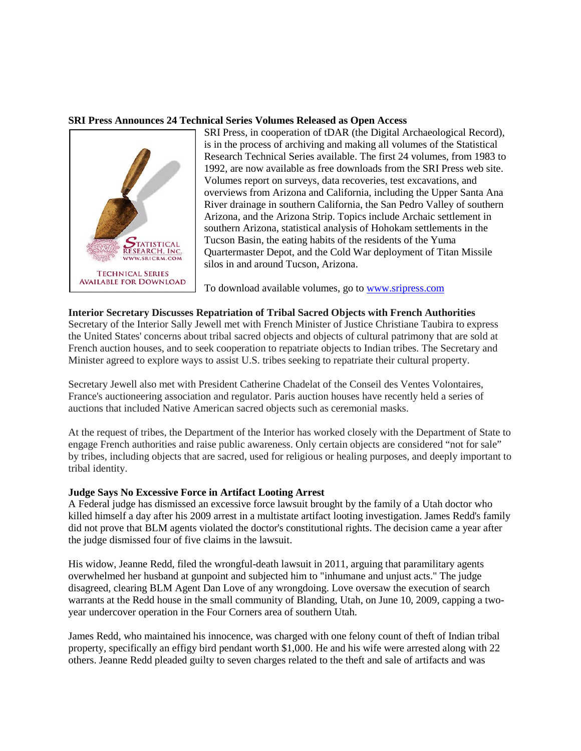## **SRI Press Announces 24 Technical Series Volumes Released as Open Access**



SRI Press, in cooperation of tDAR (the Digital Archaeological Record), is in the process of archiving and making all volumes of the Statistical Research Technical Series available. The first 24 volumes, from 1983 to 1992, are now available as free downloads from the SRI Press web site. Volumes report on surveys, data recoveries, test excavations, and overviews from Arizona and California, including the Upper Santa Ana River drainage in southern California, the San Pedro Valley of southern Arizona, and the Arizona Strip. Topics include Archaic settlement in southern Arizona, statistical analysis of Hohokam settlements in the Tucson Basin, the eating habits of the residents of the Yuma Quartermaster Depot, and the Cold War deployment of Titan Missile silos in and around Tucson, Arizona.

To download available volumes, go to [www.sripress.com](http://www.sripress.com/)

#### **Interior Secretary Discusses Repatriation of Tribal Sacred Objects with French Authorities**

Secretary of the Interior Sally Jewell met with French Minister of Justice Christiane Taubira to express the United States' concerns about tribal sacred objects and objects of cultural patrimony that are sold at French auction houses, and to seek cooperation to repatriate objects to Indian tribes. The Secretary and Minister agreed to explore ways to assist U.S. tribes seeking to repatriate their cultural property.

Secretary Jewell also met with President Catherine Chadelat of the Conseil des Ventes Volontaires, France's auctioneering association and regulator. Paris auction houses have recently held a series of auctions that included Native American sacred objects such as ceremonial masks.

At the request of tribes, the Department of the Interior has worked closely with the Department of State to engage French authorities and raise public awareness. Only certain objects are considered "not for sale" by tribes, including objects that are sacred, used for religious or healing purposes, and deeply important to tribal identity.

#### **Judge Says No Excessive Force in Artifact Looting Arrest**

A Federal judge has dismissed an excessive force lawsuit brought by the family of a Utah doctor who killed himself a day after his 2009 arrest in a multistate artifact looting investigation. James Redd's family did not prove that BLM agents violated the doctor's constitutional rights. The decision came a year after the judge dismissed four of five claims in the lawsuit.

His widow, Jeanne Redd, filed the wrongful-death lawsuit in 2011, arguing that paramilitary agents overwhelmed her husband at gunpoint and subjected him to "inhumane and unjust acts." The judge disagreed, clearing BLM Agent Dan Love of any wrongdoing. Love oversaw the execution of search warrants at the Redd house in the small community of Blanding, Utah, on June 10, 2009, capping a twoyear undercover operation in the Four Corners area of southern Utah.

James Redd, who maintained his innocence, was charged with one felony count of theft of Indian tribal property, specifically an effigy bird pendant worth \$1,000. He and his wife were arrested along with 22 others. Jeanne Redd pleaded guilty to seven charges related to the theft and sale of artifacts and was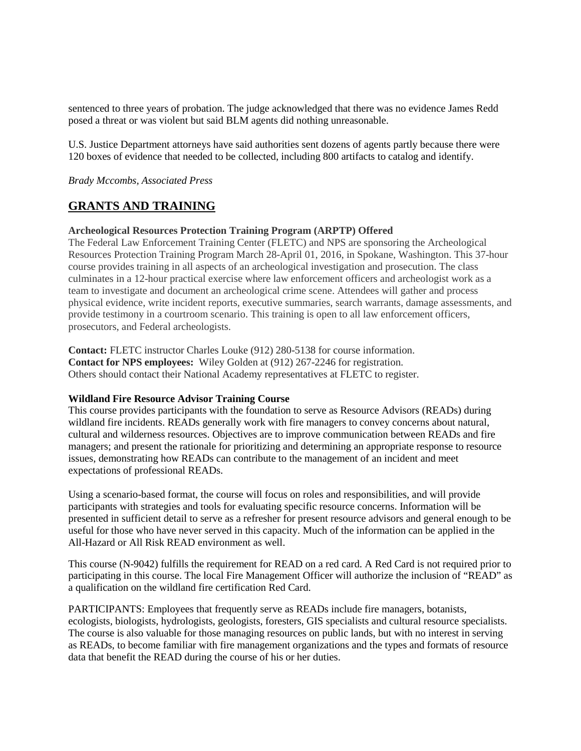sentenced to three years of probation. The judge acknowledged that there was no evidence James Redd posed a threat or was violent but said BLM agents did nothing unreasonable.

U.S. Justice Department attorneys have said authorities sent dozens of agents partly because there were 120 boxes of evidence that needed to be collected, including 800 artifacts to catalog and identify.

*Brady Mccombs, Associated Press*

# **GRANTS AND TRAINING**

#### **Archeological Resources Protection Training Program (ARPTP) Offered**

The Federal Law Enforcement Training Center (FLETC) and NPS are sponsoring the Archeological Resources Protection Training Program March 28-April 01, 2016, in Spokane, Washington. This 37-hour course provides training in all aspects of an archeological investigation and prosecution. The class culminates in a 12-hour practical exercise where law enforcement officers and archeologist work as a team to investigate and document an archeological crime scene. Attendees will gather and process physical evidence, write incident reports, executive summaries, search warrants, damage assessments, and provide testimony in a courtroom scenario. This training is open to all law enforcement officers, prosecutors, and Federal archeologists.

**Contact:** FLETC instructor Charles Louke (912) 280-5138 for course information. **Contact for NPS employees:** Wiley Golden at (912) 267-2246 for registration. Others should contact their National Academy representatives at FLETC to register.

## **Wildland Fire Resource Advisor Training Course**

This course provides participants with the foundation to serve as Resource Advisors (READs) during wildland fire incidents. READs generally work with fire managers to convey concerns about natural, cultural and wilderness resources. Objectives are to improve communication between READs and fire managers; and present the rationale for prioritizing and determining an appropriate response to resource issues, demonstrating how READs can contribute to the management of an incident and meet expectations of professional READs.

Using a scenario-based format, the course will focus on roles and responsibilities, and will provide participants with strategies and tools for evaluating specific resource concerns. Information will be presented in sufficient detail to serve as a refresher for present resource advisors and general enough to be useful for those who have never served in this capacity. Much of the information can be applied in the All-Hazard or All Risk READ environment as well.

This course (N-9042) fulfills the requirement for READ on a red card. A Red Card is not required prior to participating in this course. The local Fire Management Officer will authorize the inclusion of "READ" as a qualification on the wildland fire certification Red Card.

PARTICIPANTS: Employees that frequently serve as READs include fire managers, botanists, ecologists, biologists, hydrologists, geologists, foresters, GIS specialists and cultural resource specialists. The course is also valuable for those managing resources on public lands, but with no interest in serving as READs, to become familiar with fire management organizations and the types and formats of resource data that benefit the READ during the course of his or her duties.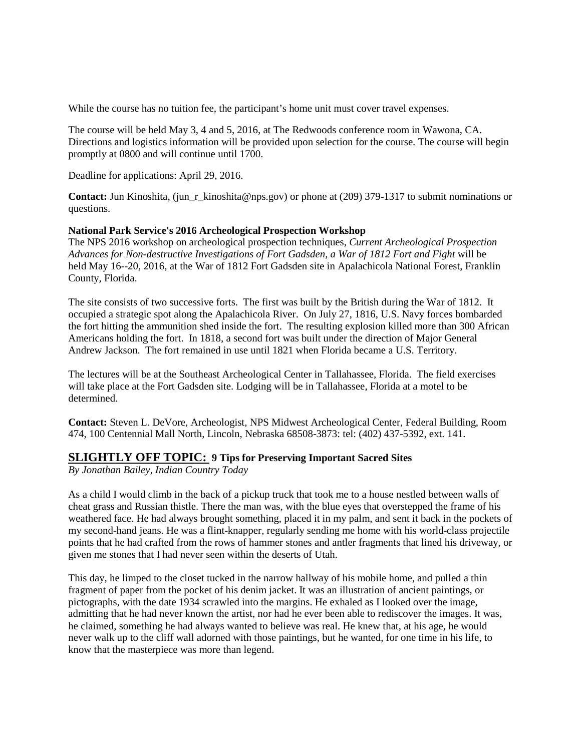While the course has no tuition fee, the participant's home unit must cover travel expenses.

The course will be held May 3, 4 and 5, 2016, at The Redwoods conference room in Wawona, CA. Directions and logistics information will be provided upon selection for the course. The course will begin promptly at 0800 and will continue until 1700.

Deadline for applications: April 29, 2016.

**Contact:** Jun Kinoshita, (jun\_r\_kinoshita@nps.gov) or phone at (209) 379-1317 to submit nominations or questions.

## **National Park Service's 2016 Archeological Prospection Workshop**

The NPS 2016 workshop on archeological prospection techniques, *Current Archeological Prospection Advances for Non-destructive Investigations of Fort Gadsden, a War of 1812 Fort and Fight* will be held May 16--20, 2016, at the War of 1812 Fort Gadsden site in Apalachicola National Forest, Franklin County, Florida.

The site consists of two successive forts. The first was built by the British during the War of 1812. It occupied a strategic spot along the Apalachicola River. On July 27, 1816, U.S. Navy forces bombarded the fort hitting the ammunition shed inside the fort. The resulting explosion killed more than 300 African Americans holding the fort. In 1818, a second fort was built under the direction of Major General Andrew Jackson. The fort remained in use until 1821 when Florida became a U.S. Territory.

The lectures will be at the Southeast Archeological Center in Tallahassee, Florida. The field exercises will take place at the Fort Gadsden site. Lodging will be in Tallahassee, Florida at a motel to be determined.

**Contact:** Steven L. DeVore, Archeologist, NPS Midwest Archeological Center, Federal Building, Room 474, 100 Centennial Mall North, Lincoln, Nebraska 68508-3873: tel: (402) 437-5392, ext. 141.

## **SLIGHTLY OFF TOPIC: 9 Tips for Preserving Important Sacred Sites**

*By Jonathan Bailey, Indian Country Today*

As a child I would climb in the back of a pickup truck that took me to a house nestled between walls of cheat grass and Russian thistle. There the man was, with the blue eyes that overstepped the frame of his weathered face. He had always brought something, placed it in my palm, and sent it back in the pockets of my second-hand jeans. He was a flint-knapper, regularly sending me home with his world-class projectile points that he had crafted from the rows of hammer stones and antler fragments that lined his driveway, or given me stones that I had never seen within the deserts of Utah.

This day, he limped to the closet tucked in the narrow hallway of his mobile home, and pulled a thin fragment of paper from the pocket of his denim jacket. It was an illustration of ancient paintings, or pictographs, with the date 1934 scrawled into the margins. He exhaled as I looked over the image, admitting that he had never known the artist, nor had he ever been able to rediscover the images. It was, he claimed, something he had always wanted to believe was real. He knew that, at his age, he would never walk up to the cliff wall adorned with those paintings, but he wanted, for one time in his life, to know that the masterpiece was more than legend.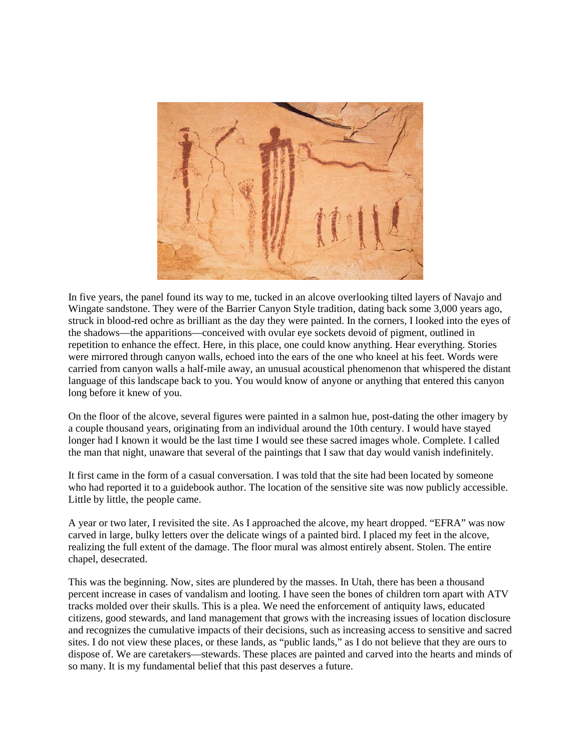

In five years, the panel found its way to me, tucked in an alcove overlooking tilted layers of Navajo and Wingate sandstone. They were of the Barrier Canyon Style tradition, dating back some 3,000 years ago, struck in blood-red ochre as brilliant as the day they were painted. In the corners, I looked into the eyes of the shadows—the apparitions—conceived with ovular eye sockets devoid of pigment, outlined in repetition to enhance the effect. Here, in this place, one could know anything. Hear everything. Stories were mirrored through canyon walls, echoed into the ears of the one who kneel at his feet. Words were carried from canyon walls a half-mile away, an unusual acoustical phenomenon that whispered the distant language of this landscape back to you. You would know of anyone or anything that entered this canyon long before it knew of you.

On the floor of the alcove, several figures were painted in a salmon hue, post-dating the other imagery by a couple thousand years, originating from an individual around the 10th century. I would have stayed longer had I known it would be the last time I would see these sacred images whole. Complete. I called the man that night, unaware that several of the paintings that I saw that day would vanish indefinitely.

It first came in the form of a casual conversation. I was told that the site had been located by someone who had reported it to a guidebook author. The location of the sensitive site was now publicly accessible. Little by little, the people came.

A year or two later, I revisited the site. As I approached the alcove, my heart dropped. "EFRA" was now carved in large, bulky letters over the delicate wings of a painted bird. I placed my feet in the alcove, realizing the full extent of the damage. The floor mural was almost entirely absent. Stolen. The entire chapel, desecrated.

This was the beginning. Now, sites are plundered by the masses. In Utah, there has been a thousand percent increase in cases of vandalism and looting. I have seen the bones of children torn apart with ATV tracks molded over their skulls. This is a plea. We need the enforcement of antiquity laws, educated citizens, good stewards, and land management that grows with the increasing issues of location disclosure and recognizes the cumulative impacts of their decisions, such as increasing access to sensitive and sacred sites. I do not view these places, or these lands, as "public lands," as I do not believe that they are ours to dispose of. We are caretakers—stewards. These places are painted and carved into the hearts and minds of so many. It is my fundamental belief that this past deserves a future.